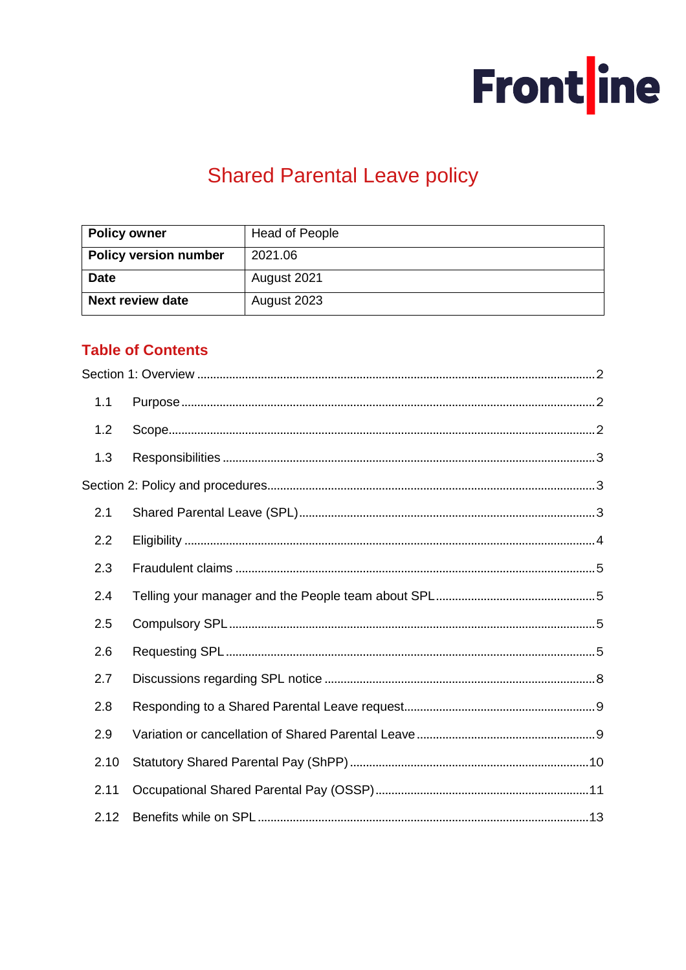

# **Shared Parental Leave policy**

| <b>Policy owner</b>          | <b>Head of People</b> |  |
|------------------------------|-----------------------|--|
| <b>Policy version number</b> | 2021.06               |  |
| <b>Date</b>                  | August 2021           |  |
| <b>Next review date</b>      | August 2023           |  |

# **Table of Contents**

| 1.1  |  |
|------|--|
| 1.2  |  |
| 1.3  |  |
|      |  |
| 2.1  |  |
| 2.2  |  |
| 2.3  |  |
| 2.4  |  |
| 2.5  |  |
| 2.6  |  |
| 2.7  |  |
| 2.8  |  |
| 2.9  |  |
| 2.10 |  |
| 2.11 |  |
| 2.12 |  |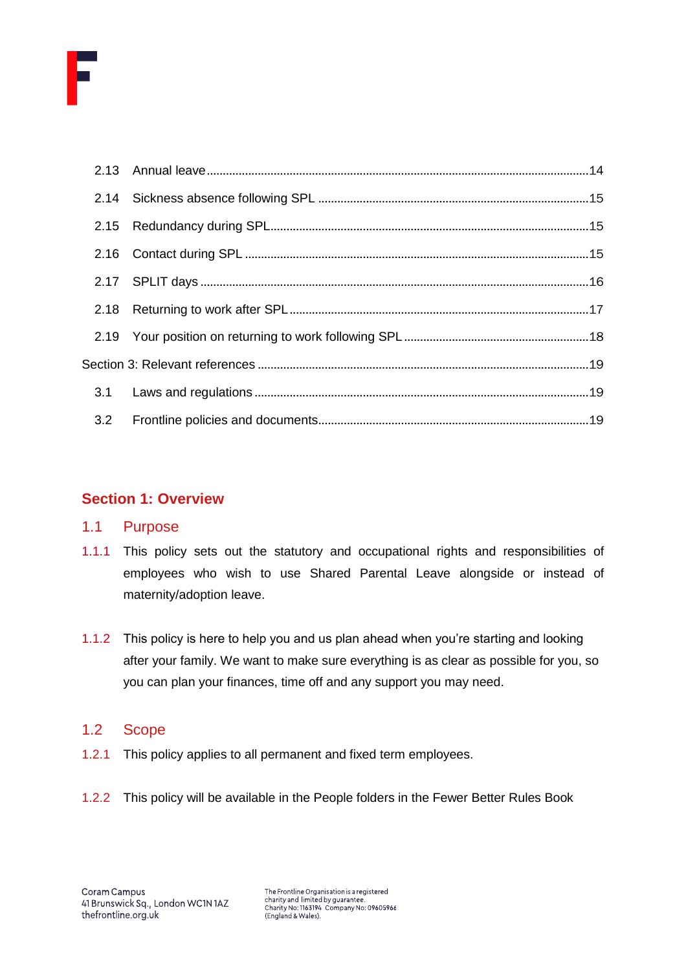

# <span id="page-1-0"></span>**Section 1: Overview**

## <span id="page-1-1"></span>1.1 Purpose

- 1.1.1 This policy sets out the statutory and occupational rights and responsibilities of employees who wish to use Shared Parental Leave alongside or instead of maternity/adoption leave.
- 1.1.2 This policy is here to help you and us plan ahead when you're starting and looking after your family. We want to make sure everything is as clear as possible for you, so you can plan your finances, time off and any support you may need.

# <span id="page-1-2"></span>1.2 Scope

- 1.2.1 This policy applies to all permanent and fixed term employees.
- 1.2.2 This policy will be available in the People folders in the Fewer Better Rules Book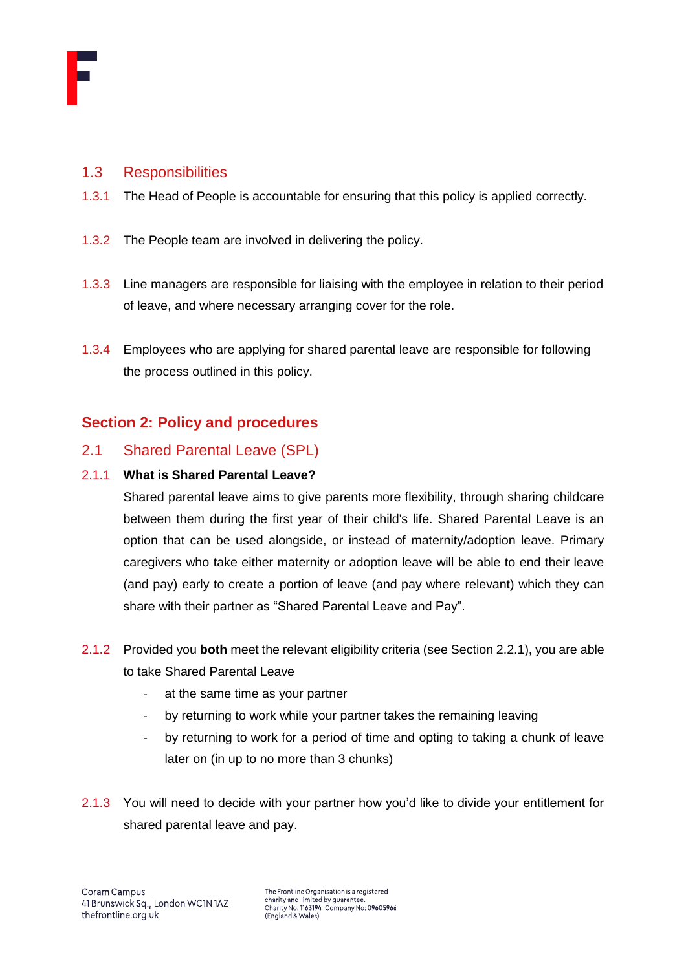

## <span id="page-2-0"></span>1.3 Responsibilities

- 1.3.1 The Head of People is accountable for ensuring that this policy is applied correctly.
- 1.3.2 The People team are involved in delivering the policy.
- 1.3.3 Line managers are responsible for liaising with the employee in relation to their period of leave, and where necessary arranging cover for the role.
- 1.3.4 Employees who are applying for shared parental leave are responsible for following the process outlined in this policy.

# <span id="page-2-1"></span>**Section 2: Policy and procedures**

## <span id="page-2-2"></span>2.1 Shared Parental Leave (SPL)

#### 2.1.1 **What is Shared Parental Leave?**

Shared parental leave aims to give parents more flexibility, through sharing childcare between them during the first year of their child's life. Shared Parental Leave is an option that can be used alongside, or instead of maternity/adoption leave. Primary caregivers who take either maternity or adoption leave will be able to end their leave (and pay) early to create a portion of leave (and pay where relevant) which they can share with their partner as "Shared Parental Leave and Pay".

- 2.1.2 Provided you **both** meet the relevant eligibility criteria (see Section 2.2.1), you are able to take Shared Parental Leave
	- at the same time as your partner
	- by returning to work while your partner takes the remaining leaving
	- by returning to work for a period of time and opting to taking a chunk of leave later on (in up to no more than 3 chunks)
- 2.1.3 You will need to decide with your partner how you'd like to divide your entitlement for shared parental leave and pay.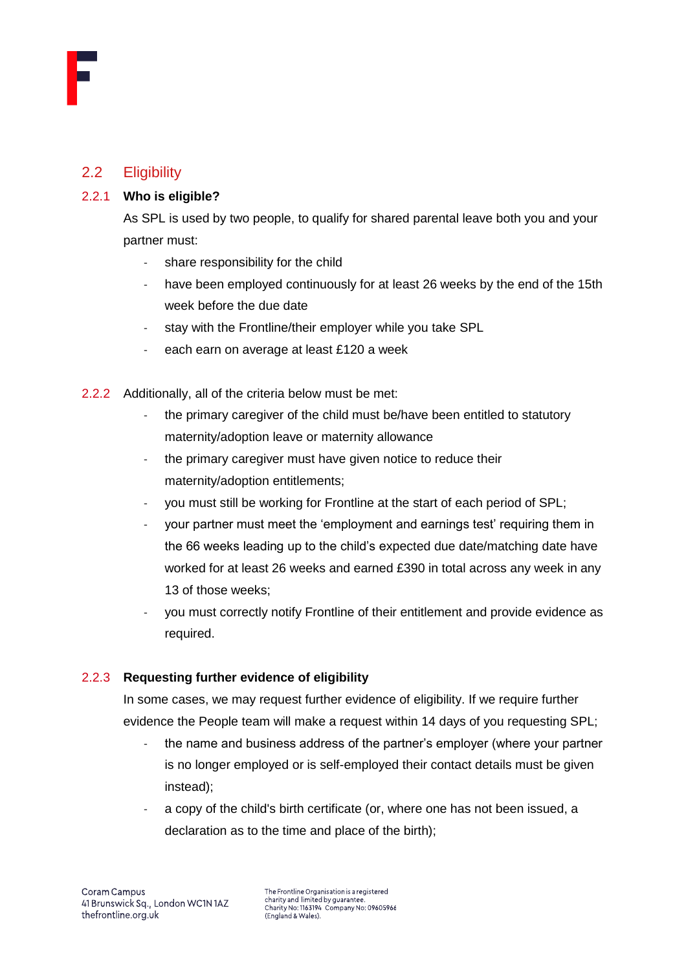

# <span id="page-3-0"></span>2.2 Eligibility

#### 2.2.1 **Who is eligible?**

As SPL is used by two people, to qualify for shared parental leave both you and your partner must:

- share responsibility for the child
- have been employed continuously for at least 26 weeks by the end of the 15th week before the due date
- stay with the Frontline/their employer while you take SPL
- each earn on average at least £120 a week
- 2.2.2 Additionally, all of the criteria below must be met:
	- the primary caregiver of the child must be/have been entitled to statutory maternity/adoption leave or maternity allowance
	- the primary caregiver must have given notice to reduce their maternity/adoption entitlements;
	- you must still be working for Frontline at the start of each period of SPL;
	- your partner must meet the 'employment and earnings test' requiring them in the 66 weeks leading up to the child's expected due date/matching date have worked for at least 26 weeks and earned £390 in total across any week in any 13 of those weeks;
	- you must correctly notify Frontline of their entitlement and provide evidence as required.

## 2.2.3 **Requesting further evidence of eligibility**

In some cases, we may request further evidence of eligibility. If we require further evidence the People team will make a request within 14 days of you requesting SPL;

- the name and business address of the partner's employer (where your partner is no longer employed or is self-employed their contact details must be given instead);
- a copy of the child's birth certificate (or, where one has not been issued, a declaration as to the time and place of the birth);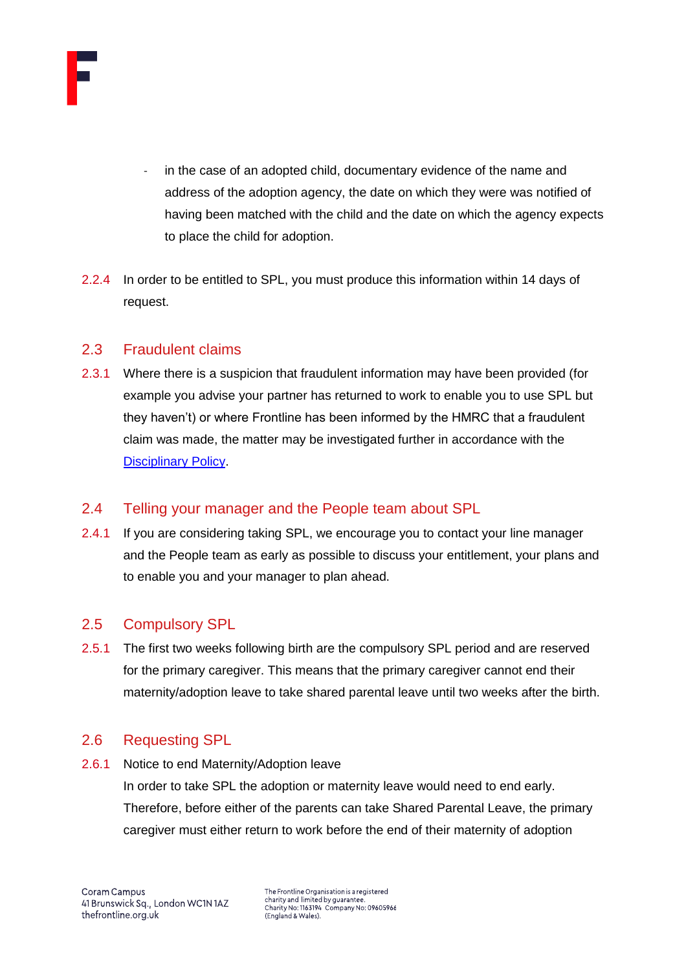

- in the case of an adopted child, documentary evidence of the name and address of the adoption agency, the date on which they were was notified of having been matched with the child and the date on which the agency expects to place the child for adoption.
- 2.2.4 In order to be entitled to SPL, you must produce this information within 14 days of request.

## <span id="page-4-0"></span>2.3 Fraudulent claims

2.3.1 Where there is a suspicion that fraudulent information may have been provided (for example you advise your partner has returned to work to enable you to use SPL but they haven't) or where Frontline has been informed by the HMRC that a fraudulent claim was made, the matter may be investigated further in accordance with the [Disciplinary Policy.](https://thefrontline.sharepoint.com/sites/FBRB/Shared%20Documents/Operations/People/Performance/Policies/Disciplinary%20policy%202019.12.pdf)

# <span id="page-4-1"></span>2.4 Telling your manager and the People team about SPL

2.4.1 If you are considering taking SPL, we encourage you to contact your line manager and the People team as early as possible to discuss your entitlement, your plans and to enable you and your manager to plan ahead.

# <span id="page-4-2"></span>2.5 Compulsory SPL

2.5.1 The first two weeks following birth are the compulsory SPL period and are reserved for the primary caregiver. This means that the primary caregiver cannot end their maternity/adoption leave to take shared parental leave until two weeks after the birth.

# <span id="page-4-3"></span>2.6 Requesting SPL

2.6.1 Notice to end Maternity/Adoption leave

In order to take SPL the adoption or maternity leave would need to end early. Therefore, before either of the parents can take Shared Parental Leave, the primary caregiver must either return to work before the end of their maternity of adoption

The Frontline Organisation is a registered charity and limited by guarantee. Charity No: 1163194 Company No: 09605966<br>(England & Wales).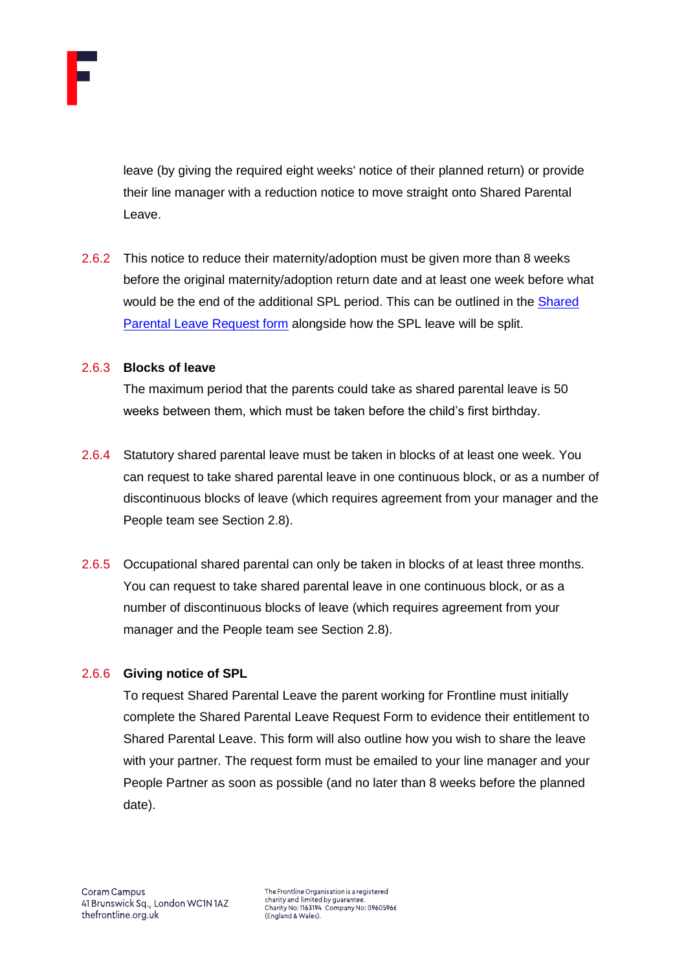

leave (by giving the required eight weeks' notice of their planned return) or provide their line manager with a reduction notice to move straight onto Shared Parental Leave.

2.6.2 This notice to reduce their maternity/adoption must be given more than 8 weeks before the original maternity/adoption return date and at least one week before what would be the end of the additional SPL period. This can be outlined in the **Shared** [Parental Leave Request form](https://thefrontline.sharepoint.com/:w:/r/sites/FBRB/_layouts/15/Doc.aspx?sourcedoc=%7B76EA0522-46CA-4B61-B4F9-875081761CE6%7D&file=Shared%20Parental%20Leave%20Request%20Form%20%5B2021%5D.dot&action=default&mobileredirect=true) alongside how the SPL leave will be split.

#### 2.6.3 **Blocks of leave**

The maximum period that the parents could take as shared parental leave is 50 weeks between them, which must be taken before the child's first birthday.

- 2.6.4 Statutory shared parental leave must be taken in blocks of at least one week. You can request to take shared parental leave in one continuous block, or as a number of discontinuous blocks of leave (which requires agreement from your manager and the People team see Section 2.8).
- 2.6.5 Occupational shared parental can only be taken in blocks of at least three months. You can request to take shared parental leave in one continuous block, or as a number of discontinuous blocks of leave (which requires agreement from your manager and the People team see Section 2.8).

## 2.6.6 **Giving notice of SPL**

To request Shared Parental Leave the parent working for Frontline must initially complete the Shared Parental Leave Request Form to evidence their entitlement to Shared Parental Leave. This form will also outline how you wish to share the leave with your partner. The request form must be emailed to your line manager and your People Partner as soon as possible (and no later than 8 weeks before the planned date).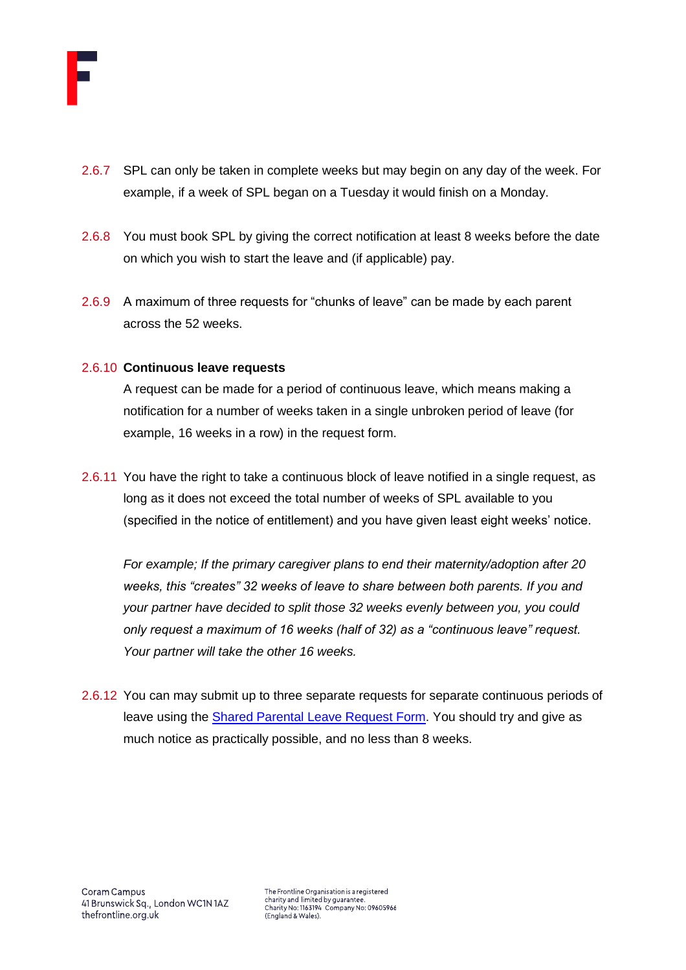

- 2.6.7 SPL can only be taken in complete weeks but may begin on any day of the week. For example, if a week of SPL began on a Tuesday it would finish on a Monday.
- 2.6.8 You must book SPL by giving the correct notification at least 8 weeks before the date on which you wish to start the leave and (if applicable) pay.
- 2.6.9 A maximum of three requests for "chunks of leave" can be made by each parent across the 52 weeks.

#### 2.6.10 **Continuous leave requests**

A request can be made for a period of continuous leave, which means making a notification for a number of weeks taken in a single unbroken period of leave (for example, 16 weeks in a row) in the request form.

2.6.11 You have the right to take a continuous block of leave notified in a single request, as long as it does not exceed the total number of weeks of SPL available to you (specified in the notice of entitlement) and you have given least eight weeks' notice.

*For example; If the primary caregiver plans to end their maternity/adoption after 20 weeks, this "creates" 32 weeks of leave to share between both parents. If you and your partner have decided to split those 32 weeks evenly between you, you could only request a maximum of 16 weeks (half of 32) as a "continuous leave" request. Your partner will take the other 16 weeks.* 

2.6.12 You can may submit up to three separate requests for separate continuous periods of leave using the [Shared Parental Leave Request Form.](https://thefrontline.sharepoint.com/:w:/r/sites/FBRB/_layouts/15/Doc.aspx?sourcedoc=%7B76EA0522-46CA-4B61-B4F9-875081761CE6%7D&file=Shared%20Parental%20Leave%20Request%20Form%20%5B2021%5D.dot&action=default&mobileredirect=true&cid=e6c3a466-352a-4cd1-b1d9-44891ea6edd7) You should try and give as much notice as practically possible, and no less than 8 weeks.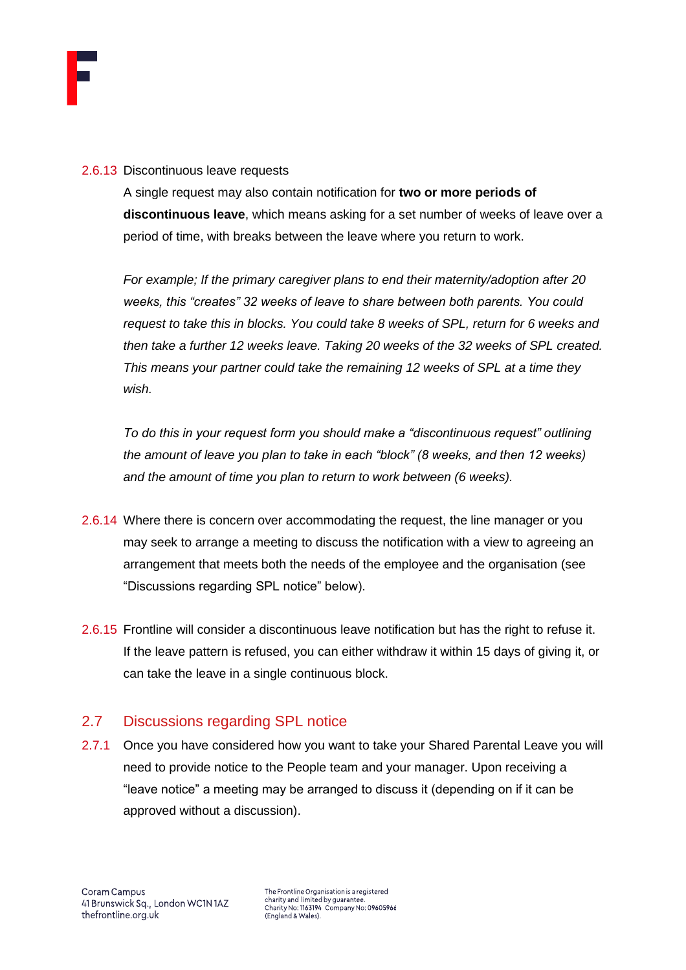

#### 2.6.13 Discontinuous leave requests

A single request may also contain notification for **two or more periods of discontinuous leave**, which means asking for a set number of weeks of leave over a period of time, with breaks between the leave where you return to work.

*For example; If the primary caregiver plans to end their maternity/adoption after 20 weeks, this "creates" 32 weeks of leave to share between both parents. You could request to take this in blocks. You could take 8 weeks of SPL, return for 6 weeks and then take a further 12 weeks leave. Taking 20 weeks of the 32 weeks of SPL created. This means your partner could take the remaining 12 weeks of SPL at a time they wish.*

*To do this in your request form you should make a "discontinuous request" outlining the amount of leave you plan to take in each "block" (8 weeks, and then 12 weeks) and the amount of time you plan to return to work between (6 weeks).* 

- 2.6.14 Where there is concern over accommodating the request, the line manager or you may seek to arrange a meeting to discuss the notification with a view to agreeing an arrangement that meets both the needs of the employee and the organisation (see "Discussions regarding SPL notice" below).
- 2.6.15 Frontline will consider a discontinuous leave notification but has the right to refuse it. If the leave pattern is refused, you can either withdraw it within 15 days of giving it, or can take the leave in a single continuous block.

# <span id="page-7-0"></span>2.7 Discussions regarding SPL notice

2.7.1 Once you have considered how you want to take your Shared Parental Leave you will need to provide notice to the People team and your manager. Upon receiving a "leave notice" a meeting may be arranged to discuss it (depending on if it can be approved without a discussion).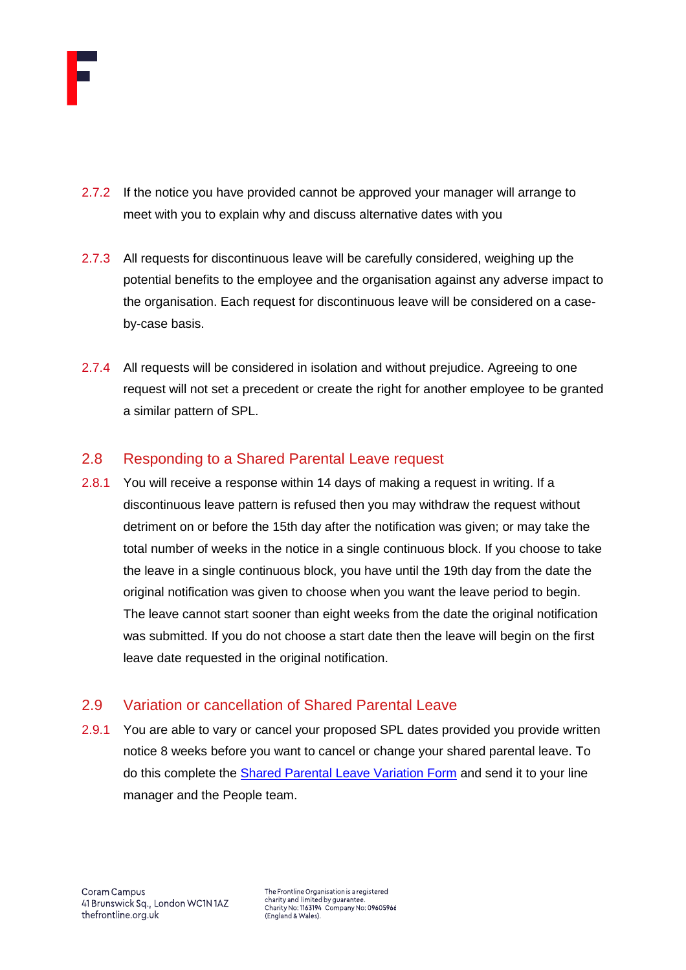

- 2.7.2 If the notice you have provided cannot be approved your manager will arrange to meet with you to explain why and discuss alternative dates with you
- 2.7.3 All requests for discontinuous leave will be carefully considered, weighing up the potential benefits to the employee and the organisation against any adverse impact to the organisation. Each request for discontinuous leave will be considered on a caseby-case basis.
- 2.7.4 All requests will be considered in isolation and without prejudice. Agreeing to one request will not set a precedent or create the right for another employee to be granted a similar pattern of SPL.

# <span id="page-8-0"></span>2.8 Responding to a Shared Parental Leave request

2.8.1 You will receive a response within 14 days of making a request in writing. If a discontinuous leave pattern is refused then you may withdraw the request without detriment on or before the 15th day after the notification was given; or may take the total number of weeks in the notice in a single continuous block. If you choose to take the leave in a single continuous block, you have until the 19th day from the date the original notification was given to choose when you want the leave period to begin. The leave cannot start sooner than eight weeks from the date the original notification was submitted. If you do not choose a start date then the leave will begin on the first leave date requested in the original notification.

# <span id="page-8-1"></span>2.9 Variation or cancellation of Shared Parental Leave

2.9.1 You are able to vary or cancel your proposed SPL dates provided you provide written notice 8 weeks before you want to cancel or change your shared parental leave. To do this complete the **Shared Parental Leave Variation Form** and send it to your line manager and the People team.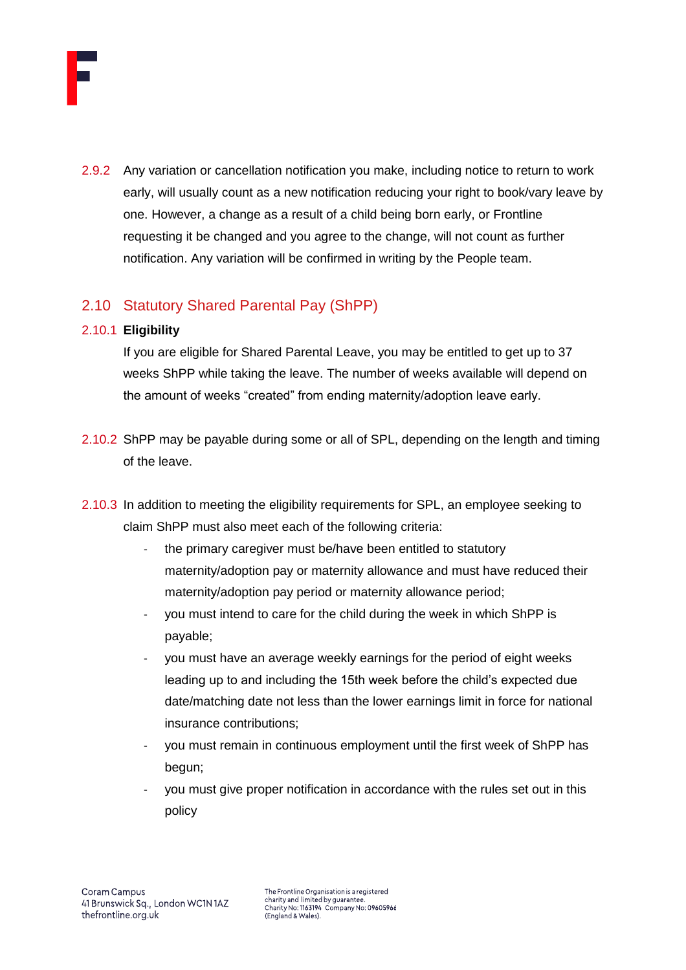

2.9.2 Any variation or cancellation notification you make, including notice to return to work early, will usually count as a new notification reducing your right to book/vary leave by one. However, a change as a result of a child being born early, or Frontline requesting it be changed and you agree to the change, will not count as further notification. Any variation will be confirmed in writing by the People team.

# <span id="page-9-0"></span>2.10 Statutory Shared Parental Pay (ShPP)

## 2.10.1 **Eligibility**

If you are eligible for Shared Parental Leave, you may be entitled to get up to 37 weeks ShPP while taking the leave. The number of weeks available will depend on the amount of weeks "created" from ending maternity/adoption leave early.

- 2.10.2 ShPP may be payable during some or all of SPL, depending on the length and timing of the leave.
- 2.10.3 In addition to meeting the eligibility requirements for SPL, an employee seeking to claim ShPP must also meet each of the following criteria:
	- the primary caregiver must be/have been entitled to statutory maternity/adoption pay or maternity allowance and must have reduced their maternity/adoption pay period or maternity allowance period;
	- you must intend to care for the child during the week in which ShPP is payable;
	- you must have an average weekly earnings for the period of eight weeks leading up to and including the 15th week before the child's expected due date/matching date not less than the lower earnings limit in force for national insurance contributions;
	- you must remain in continuous employment until the first week of ShPP has begun;
	- you must give proper notification in accordance with the rules set out in this policy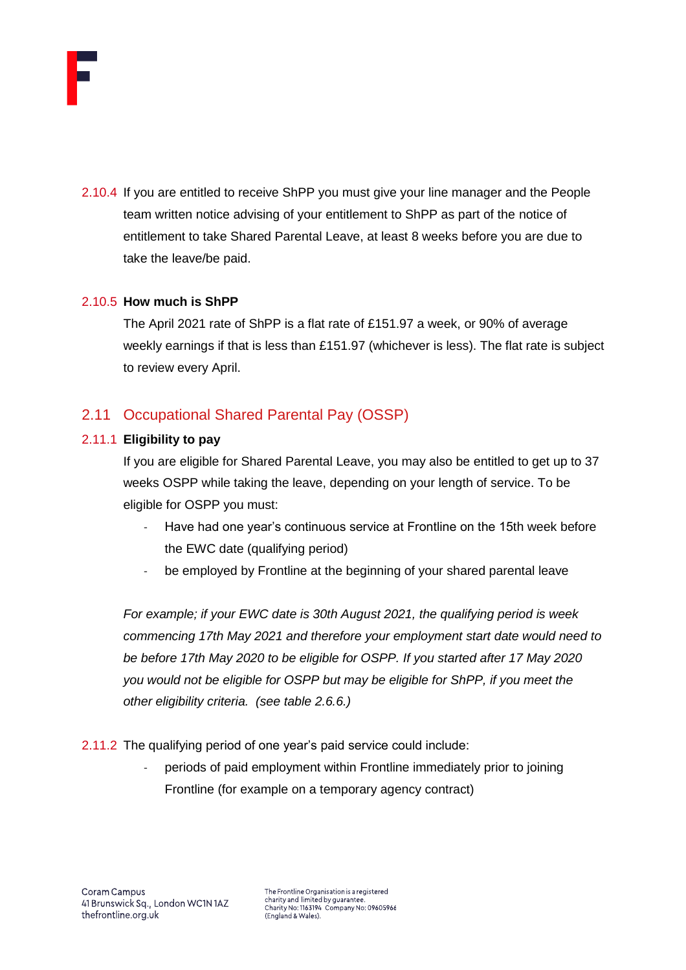

2.10.4 If you are entitled to receive ShPP you must give your line manager and the People team written notice advising of your entitlement to ShPP as part of the notice of entitlement to take Shared Parental Leave, at least 8 weeks before you are due to take the leave/be paid.

#### 2.10.5 **How much is ShPP**

The April 2021 rate of ShPP is a flat rate of £151.97 a week, or 90% of average weekly earnings if that is less than £151.97 (whichever is less). The flat rate is subject to review every April.

# <span id="page-10-0"></span>2.11 Occupational Shared Parental Pay (OSSP)

#### 2.11.1 **Eligibility to pay**

If you are eligible for Shared Parental Leave, you may also be entitled to get up to 37 weeks OSPP while taking the leave, depending on your length of service. To be eligible for OSPP you must:

- Have had one year's continuous service at Frontline on the 15th week before the EWC date (qualifying period)
- be employed by Frontline at the beginning of your shared parental leave

*For example; if your EWC date is 30th August 2021, the qualifying period is week commencing 17th May 2021 and therefore your employment start date would need to be before 17th May 2020 to be eligible for OSPP. If you started after 17 May 2020 you would not be eligible for OSPP but may be eligible for ShPP, if you meet the other eligibility criteria. (see table 2.6.6.)*

- 2.11.2 The qualifying period of one year's paid service could include:
	- periods of paid employment within Frontline immediately prior to joining Frontline (for example on a temporary agency contract)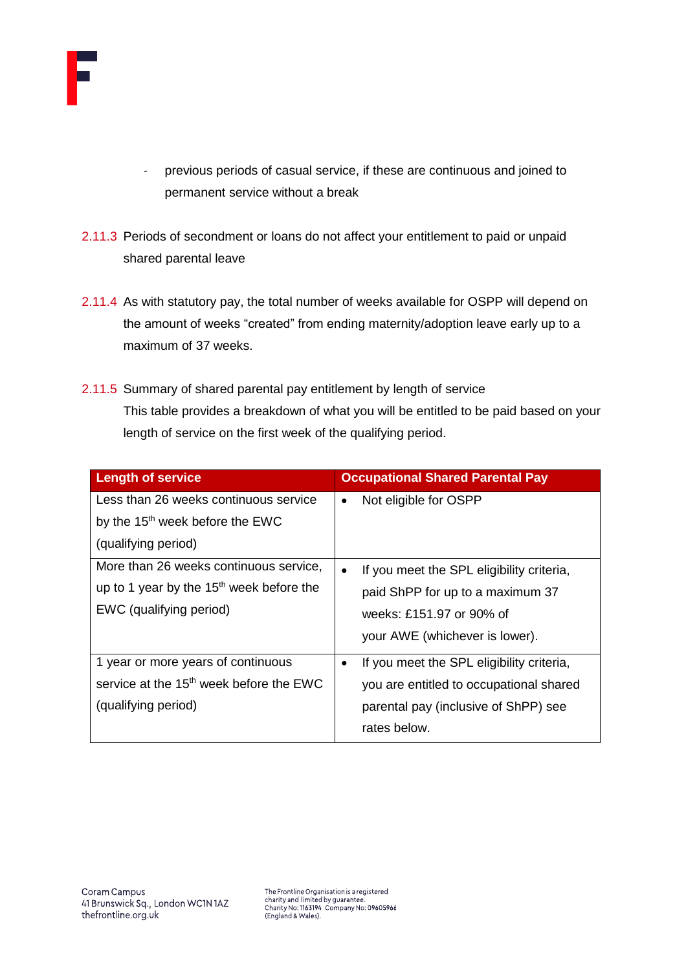

- previous periods of casual service, if these are continuous and joined to permanent service without a break
- 2.11.3 Periods of secondment or loans do not affect your entitlement to paid or unpaid shared parental leave
- 2.11.4 As with statutory pay, the total number of weeks available for OSPP will depend on the amount of weeks "created" from ending maternity/adoption leave early up to a maximum of 37 weeks.
- 2.11.5 Summary of shared parental pay entitlement by length of service This table provides a breakdown of what you will be entitled to be paid based on your length of service on the first week of the qualifying period.

| <b>Length of service</b>                             | <b>Occupational Shared Parental Pay</b>                |
|------------------------------------------------------|--------------------------------------------------------|
| Less than 26 weeks continuous service                | Not eligible for OSPP<br>٠                             |
| by the 15 <sup>th</sup> week before the EWC          |                                                        |
| (qualifying period)                                  |                                                        |
| More than 26 weeks continuous service,               | If you meet the SPL eligibility criteria,<br>$\bullet$ |
| up to 1 year by the 15 <sup>th</sup> week before the | paid ShPP for up to a maximum 37                       |
| EWC (qualifying period)                              | weeks: £151.97 or 90% of                               |
|                                                      | your AWE (whichever is lower).                         |
| 1 year or more years of continuous                   | If you meet the SPL eligibility criteria,              |
| service at the 15 <sup>th</sup> week before the EWC  | you are entitled to occupational shared                |
| (qualifying period)                                  | parental pay (inclusive of ShPP) see                   |
|                                                      | rates below.                                           |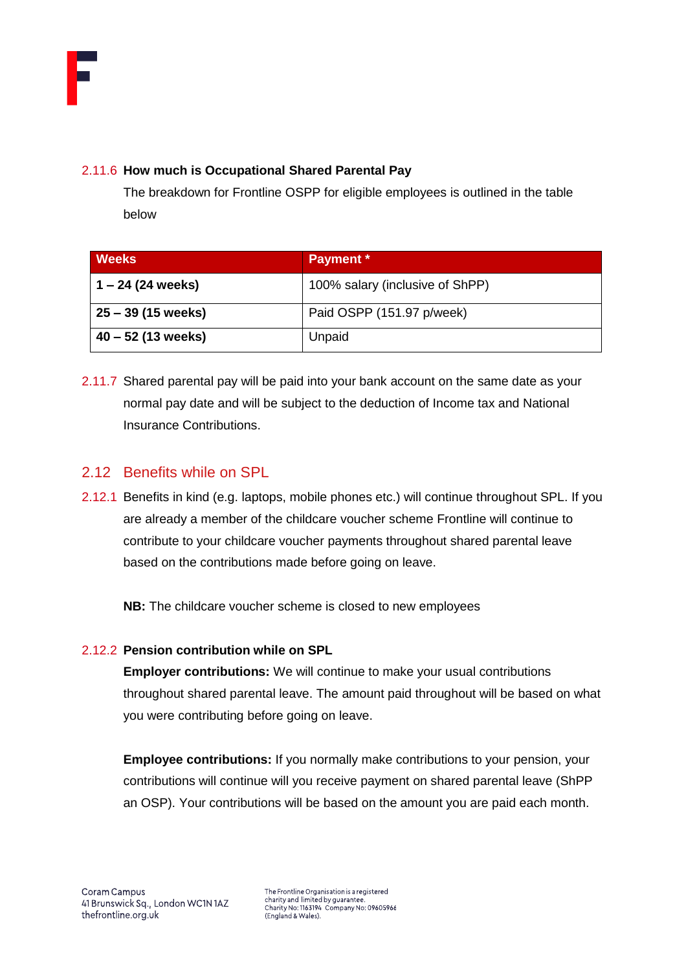

## 2.11.6 **How much is Occupational Shared Parental Pay**

The breakdown for Frontline OSPP for eligible employees is outlined in the table below

| <b>Weeks</b>         | <b>Payment</b> *                |
|----------------------|---------------------------------|
| $1 - 24$ (24 weeks)  | 100% salary (inclusive of ShPP) |
| 25 – 39 (15 weeks)   | Paid OSPP (151.97 p/week)       |
| $40 - 52$ (13 weeks) | Unpaid                          |

2.11.7 Shared parental pay will be paid into your bank account on the same date as your normal pay date and will be subject to the deduction of Income tax and National Insurance Contributions.

# <span id="page-12-0"></span>2.12 Benefits while on SPL

2.12.1 Benefits in kind (e.g. laptops, mobile phones etc.) will continue throughout SPL. If you are already a member of the childcare voucher scheme Frontline will continue to contribute to your childcare voucher payments throughout shared parental leave based on the contributions made before going on leave.

**NB:** The childcare voucher scheme is closed to new employees

#### 2.12.2 **Pension contribution while on SPL**

**Employer contributions:** We will continue to make your usual contributions throughout shared parental leave. The amount paid throughout will be based on what you were contributing before going on leave.

**Employee contributions:** If you normally make contributions to your pension, your contributions will continue will you receive payment on shared parental leave (ShPP an OSP). Your contributions will be based on the amount you are paid each month.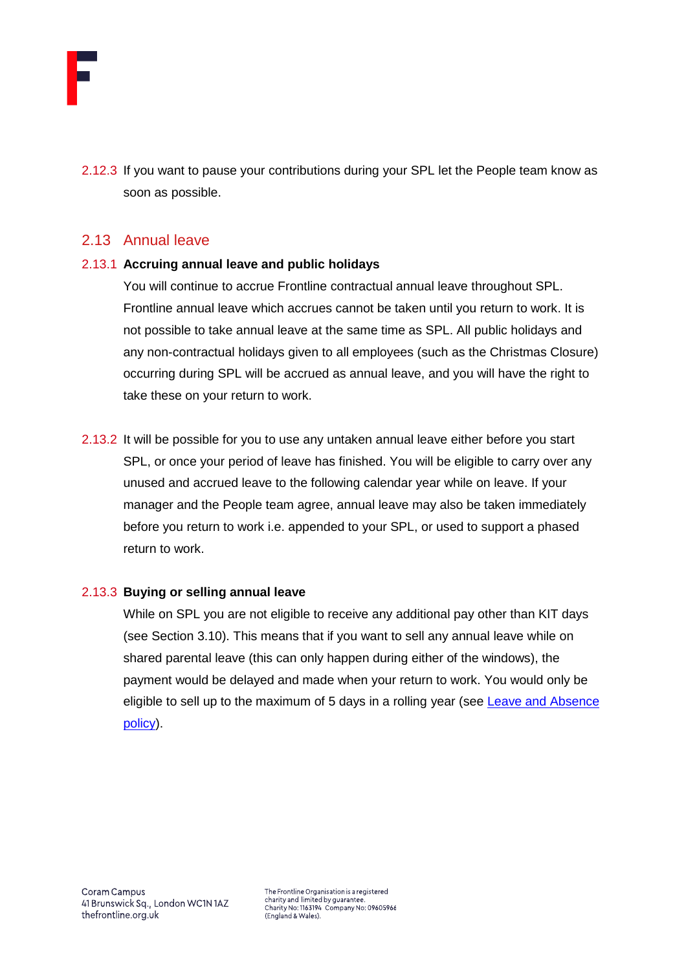

2.12.3 If you want to pause your contributions during your SPL let the People team know as soon as possible.

## <span id="page-13-0"></span>2.13 Annual leave

#### 2.13.1 **Accruing annual leave and public holidays**

You will continue to accrue Frontline contractual annual leave throughout SPL. Frontline annual leave which accrues cannot be taken until you return to work. It is not possible to take annual leave at the same time as SPL. All public holidays and any non-contractual holidays given to all employees (such as the Christmas Closure) occurring during SPL will be accrued as annual leave, and you will have the right to take these on your return to work.

2.13.2 It will be possible for you to use any untaken annual leave either before you start SPL, or once your period of leave has finished. You will be eligible to carry over any unused and accrued leave to the following calendar year while on leave. If your manager and the People team agree, annual leave may also be taken immediately before you return to work i.e. appended to your SPL, or used to support a phased return to work.

#### 2.13.3 **Buying or selling annual leave**

While on SPL you are not eligible to receive any additional pay other than KIT days (see Section 3.10). This means that if you want to sell any annual leave while on shared parental leave (this can only happen during either of the windows), the payment would be delayed and made when your return to work. You would only be eligible to sell up to the maximum of 5 days in a rolling year (see [Leave and Absence](https://thefrontline.sharepoint.com/sites/FBRB/Shared%20Documents/Operations/People/General/Leave%20and%20Absence%20Policy%20-%202021.04.pdf)  [policy\)](https://thefrontline.sharepoint.com/sites/FBRB/Shared%20Documents/Operations/People/General/Leave%20and%20Absence%20Policy%20-%202021.04.pdf).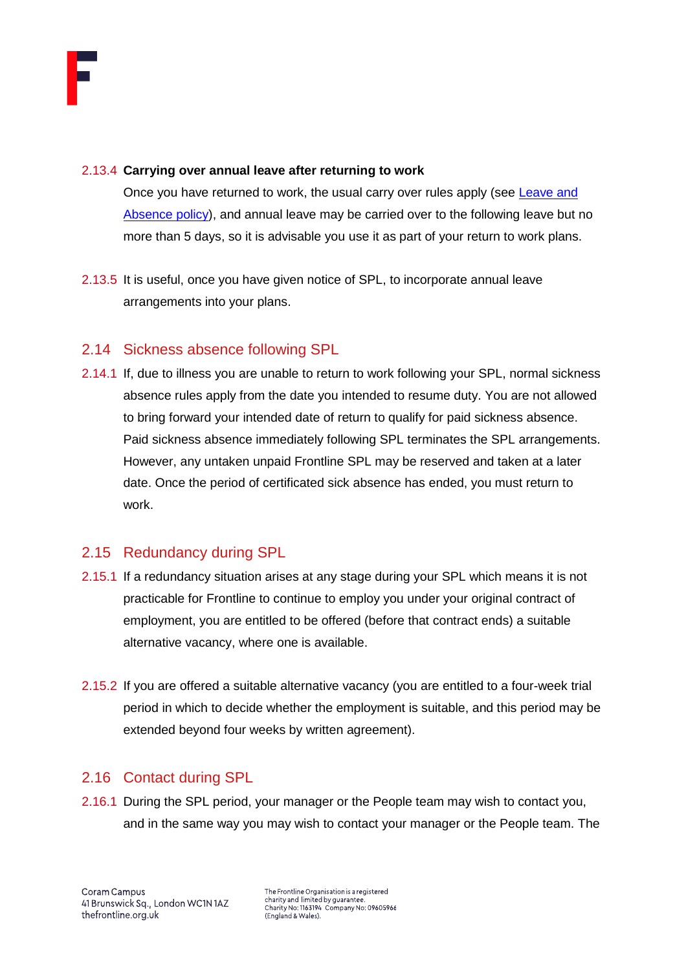

#### 2.13.4 **Carrying over annual leave after returning to work**

Once you have returned to work, the usual carry over rules apply (see Leave and [Absence policy\)](https://thefrontline.sharepoint.com/sites/FBRB/Shared%20Documents/Operations/People/General/Leave%20and%20Absence%20Policy%20-%202021.04.pdf), and annual leave may be carried over to the following leave but no more than 5 days, so it is advisable you use it as part of your return to work plans.

2.13.5 It is useful, once you have given notice of SPL, to incorporate annual leave arrangements into your plans.

## <span id="page-14-0"></span>2.14 Sickness absence following SPL

2.14.1 If, due to illness you are unable to return to work following your SPL, normal sickness absence rules apply from the date you intended to resume duty. You are not allowed to bring forward your intended date of return to qualify for paid sickness absence. Paid sickness absence immediately following SPL terminates the SPL arrangements. However, any untaken unpaid Frontline SPL may be reserved and taken at a later date. Once the period of certificated sick absence has ended, you must return to work.

# <span id="page-14-1"></span>2.15 Redundancy during SPL

- 2.15.1 If a redundancy situation arises at any stage during your SPL which means it is not practicable for Frontline to continue to employ you under your original contract of employment, you are entitled to be offered (before that contract ends) a suitable alternative vacancy, where one is available.
- 2.15.2 If you are offered a suitable alternative vacancy (you are entitled to a four-week trial period in which to decide whether the employment is suitable, and this period may be extended beyond four weeks by written agreement).

## <span id="page-14-2"></span>2.16 Contact during SPL

2.16.1 During the SPL period, your manager or the People team may wish to contact you, and in the same way you may wish to contact your manager or the People team. The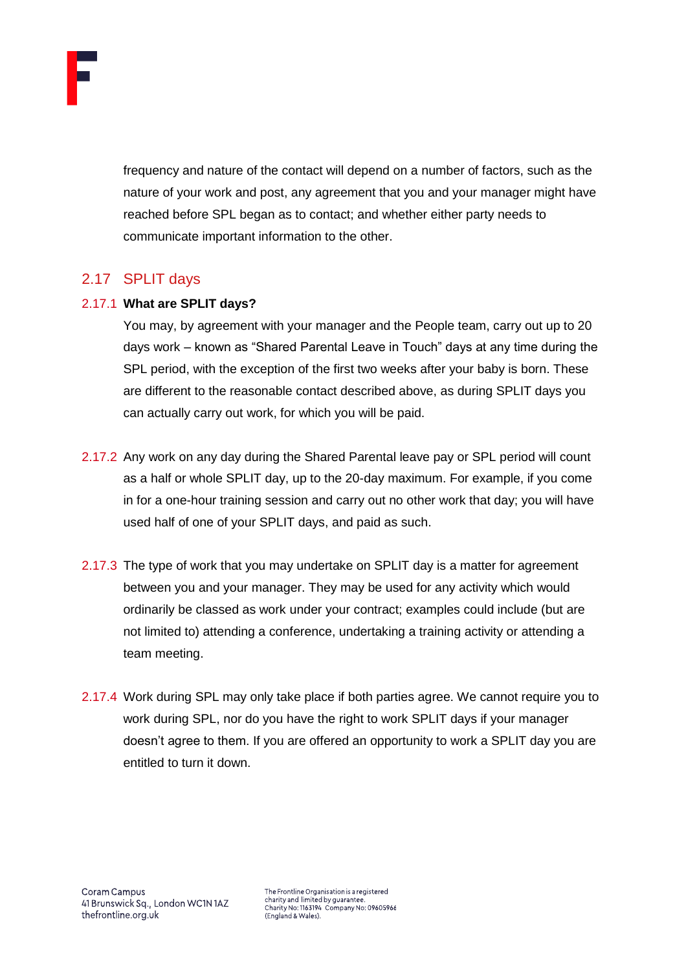

frequency and nature of the contact will depend on a number of factors, such as the nature of your work and post, any agreement that you and your manager might have reached before SPL began as to contact; and whether either party needs to communicate important information to the other.

# <span id="page-15-0"></span>2.17 SPLIT days

#### 2.17.1 **What are SPLIT days?**

You may, by agreement with your manager and the People team, carry out up to 20 days work – known as "Shared Parental Leave in Touch" days at any time during the SPL period, with the exception of the first two weeks after your baby is born. These are different to the reasonable contact described above, as during SPLIT days you can actually carry out work, for which you will be paid.

- 2.17.2 Any work on any day during the Shared Parental leave pay or SPL period will count as a half or whole SPLIT day, up to the 20-day maximum. For example, if you come in for a one-hour training session and carry out no other work that day; you will have used half of one of your SPLIT days, and paid as such.
- 2.17.3 The type of work that you may undertake on SPLIT day is a matter for agreement between you and your manager. They may be used for any activity which would ordinarily be classed as work under your contract; examples could include (but are not limited to) attending a conference, undertaking a training activity or attending a team meeting.
- 2.17.4 Work during SPL may only take place if both parties agree. We cannot require you to work during SPL, nor do you have the right to work SPLIT days if your manager doesn't agree to them. If you are offered an opportunity to work a SPLIT day you are entitled to turn it down.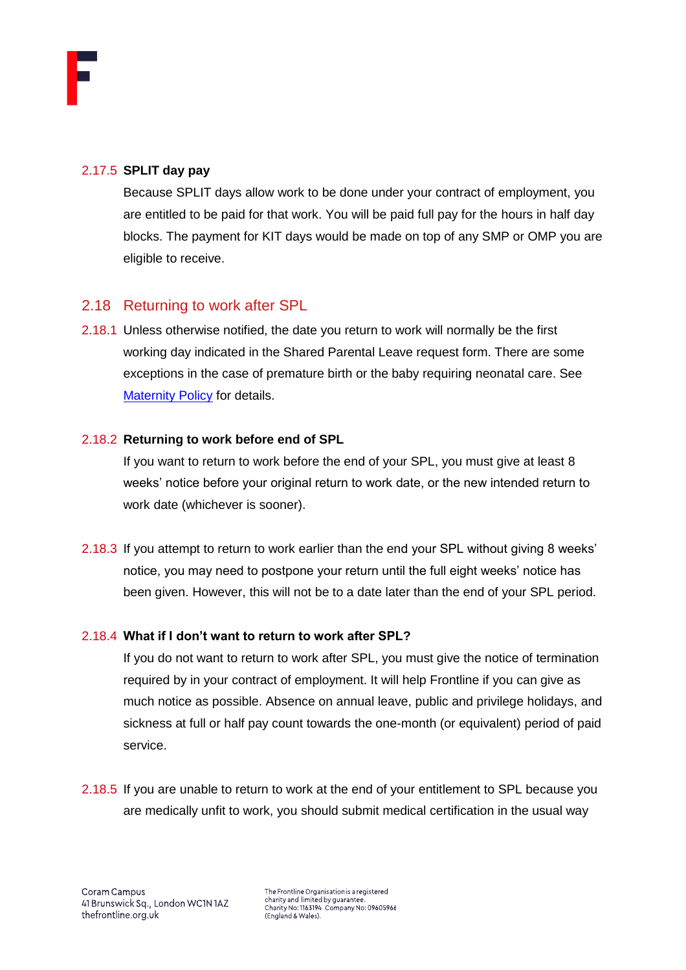

## 2.17.5 **SPLIT day pay**

Because SPLIT days allow work to be done under your contract of employment, you are entitled to be paid for that work. You will be paid full pay for the hours in half day blocks. The payment for KIT days would be made on top of any SMP or OMP you are eligible to receive.

# <span id="page-16-0"></span>2.18 Returning to work after SPL

2.18.1 Unless otherwise notified, the date you return to work will normally be the first working day indicated in the Shared Parental Leave request form. There are some exceptions in the case of premature birth or the baby requiring neonatal care. See **[Maternity Policy](https://thefrontline.sharepoint.com/sites/FBRB/Shared%20Documents/Forms/FBRB%20View.aspx?viewid=16291952%2D50ea%2D4f4d%2Dad56%2D955c10f8539d&id=%2Fsites%2FFBRB%2FShared%20Documents%2FOperations%2FPeople%2FFamily%2FMaternity%20Policy%202021%2E06%2Epdf&parent=%2Fsites%2FFBRB%2FShared%20Documents%2FOperations%2FPeople%2FFamily) for details.** 

#### 2.18.2 **Returning to work before end of SPL**

If you want to return to work before the end of your SPL, you must give at least 8 weeks' notice before your original return to work date, or the new intended return to work date (whichever is sooner).

2.18.3 If you attempt to return to work earlier than the end your SPL without giving 8 weeks' notice, you may need to postpone your return until the full eight weeks' notice has been given. However, this will not be to a date later than the end of your SPL period.

## 2.18.4 **What if I don't want to return to work after SPL?**

If you do not want to return to work after SPL, you must give the notice of termination required by in your contract of employment. It will help Frontline if you can give as much notice as possible. Absence on annual leave, public and privilege holidays, and sickness at full or half pay count towards the one-month (or equivalent) period of paid service.

2.18.5 If you are unable to return to work at the end of your entitlement to SPL because you are medically unfit to work, you should submit medical certification in the usual way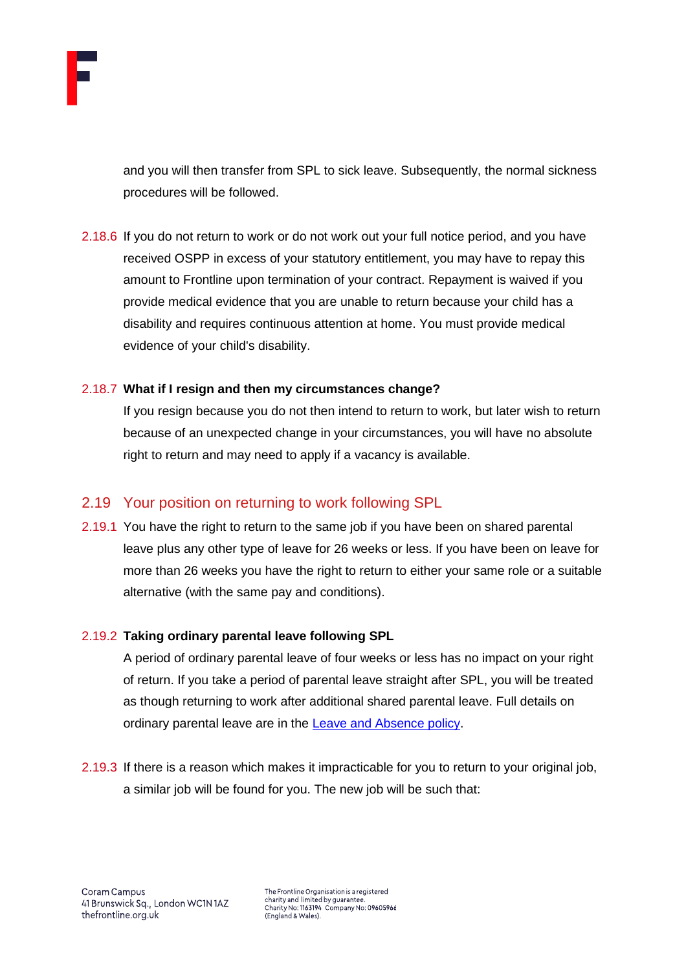

and you will then transfer from SPL to sick leave. Subsequently, the normal sickness procedures will be followed.

2.18.6 If you do not return to work or do not work out your full notice period, and you have received OSPP in excess of your statutory entitlement, you may have to repay this amount to Frontline upon termination of your contract. Repayment is waived if you provide medical evidence that you are unable to return because your child has a disability and requires continuous attention at home. You must provide medical evidence of your child's disability.

## 2.18.7 **What if I resign and then my circumstances change?**

If you resign because you do not then intend to return to work, but later wish to return because of an unexpected change in your circumstances, you will have no absolute right to return and may need to apply if a vacancy is available.

## <span id="page-17-0"></span>2.19 Your position on returning to work following SPL

2.19.1 You have the right to return to the same job if you have been on shared parental leave plus any other type of leave for 26 weeks or less. If you have been on leave for more than 26 weeks you have the right to return to either your same role or a suitable alternative (with the same pay and conditions).

## 2.19.2 **Taking ordinary parental leave following SPL**

A period of ordinary parental leave of four weeks or less has no impact on your right of return. If you take a period of parental leave straight after SPL, you will be treated as though returning to work after additional shared parental leave. Full details on ordinary parental leave are in the [Leave and Absence policy.](https://thefrontline.sharepoint.com/sites/FBRB/Shared%20Documents/Operations/People/General/Leave%20and%20Absence%20Policy%20-%202021.04.pdf)

2.19.3 If there is a reason which makes it impracticable for you to return to your original job, a similar job will be found for you. The new job will be such that: